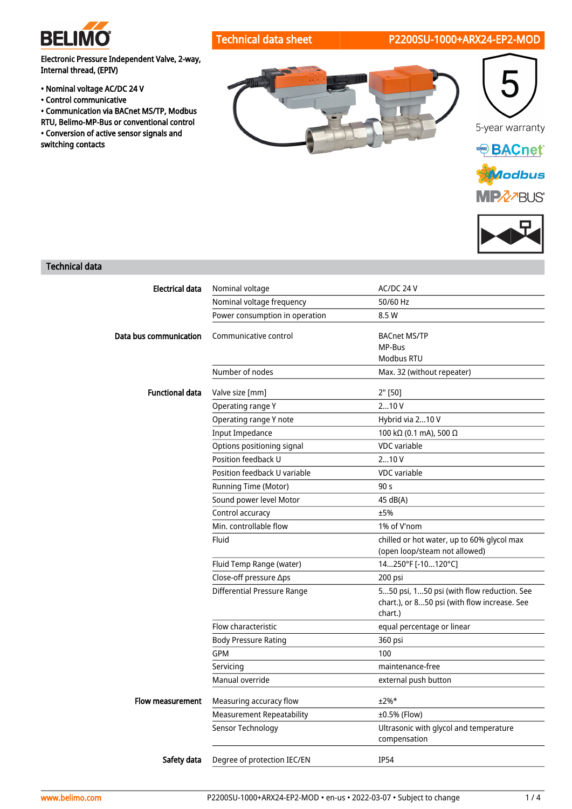

## Technical data sheet P2200SU-1000+ARX24-EP2-MOD

Electronic Pressure Independent Valve, 2-way, Internal thread, (EPIV)

- Nominal voltage AC/DC 24 V
- Control communicative
- Communication via BACnet MS/TP, Modbus RTU, Belimo-MP-Bus or conventional control • Conversion of active sensor signals and switching contacts









## Technical data

| <b>Electrical data</b> | Nominal voltage                    | AC/DC 24 V                                                                                            |
|------------------------|------------------------------------|-------------------------------------------------------------------------------------------------------|
|                        | Nominal voltage frequency          | 50/60 Hz                                                                                              |
|                        | Power consumption in operation     | 8.5 W                                                                                                 |
| Data bus communication | Communicative control              | <b>BACnet MS/TP</b><br>MP-Bus<br>Modbus RTU                                                           |
|                        | Number of nodes                    | Max. 32 (without repeater)                                                                            |
| <b>Functional data</b> | Valve size [mm]                    | $2"$ [50]                                                                                             |
|                        | Operating range Y                  | 210V                                                                                                  |
|                        | Operating range Y note             | Hybrid via 210 V                                                                                      |
|                        | Input Impedance                    | 100 kΩ (0.1 mA), 500 Ω                                                                                |
|                        | Options positioning signal         | <b>VDC</b> variable                                                                                   |
|                        | Position feedback U                | 210V                                                                                                  |
|                        | Position feedback U variable       | <b>VDC</b> variable                                                                                   |
|                        | Running Time (Motor)               | 90 <sub>s</sub>                                                                                       |
|                        | Sound power level Motor            | 45 dB(A)                                                                                              |
|                        | Control accuracy                   | ±5%                                                                                                   |
|                        | Min. controllable flow             | 1% of V'nom                                                                                           |
|                        | Fluid                              | chilled or hot water, up to 60% glycol max<br>(open loop/steam not allowed)                           |
|                        | Fluid Temp Range (water)           | 14250°F [-10120°C]                                                                                    |
|                        | Close-off pressure ∆ps             | 200 psi                                                                                               |
|                        | <b>Differential Pressure Range</b> | 550 psi, 150 psi (with flow reduction. See<br>chart.), or 850 psi (with flow increase. See<br>chart.) |
|                        | Flow characteristic                | equal percentage or linear                                                                            |
|                        | <b>Body Pressure Rating</b>        | 360 psi                                                                                               |
|                        | <b>GPM</b>                         | 100                                                                                                   |
|                        | Servicing                          | maintenance-free                                                                                      |
|                        | Manual override                    | external push button                                                                                  |
| Flow measurement       | Measuring accuracy flow            | $±2%$ *                                                                                               |
|                        | <b>Measurement Repeatability</b>   | ±0.5% (Flow)                                                                                          |
|                        | Sensor Technology                  | Ultrasonic with glycol and temperature<br>compensation                                                |
| Safety data            | Degree of protection IEC/EN        | <b>IP54</b>                                                                                           |
|                        |                                    |                                                                                                       |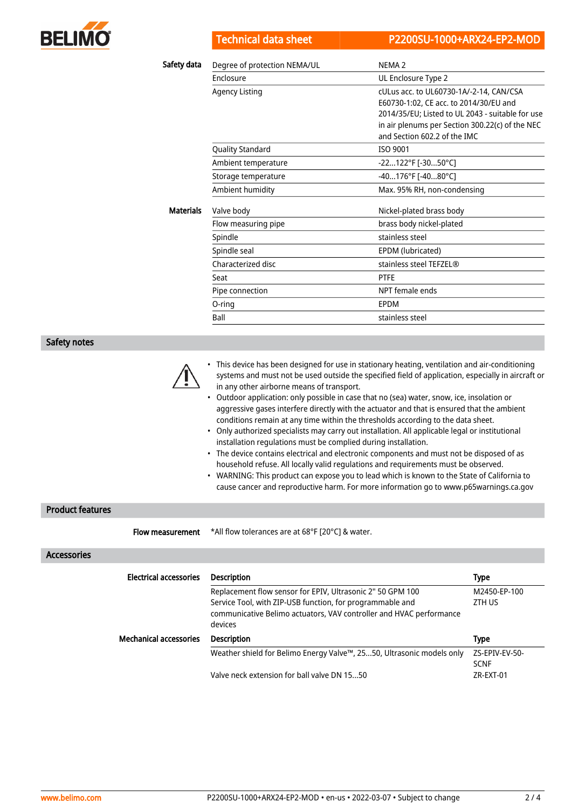

|                  | <b>Technical data sheet</b>  | P2200SU-1000+ARX24-EP2-MOD                                                                                                                                                                                               |
|------------------|------------------------------|--------------------------------------------------------------------------------------------------------------------------------------------------------------------------------------------------------------------------|
| Safety data      | Degree of protection NEMA/UL | NEMA <sub>2</sub>                                                                                                                                                                                                        |
|                  | <b>Fnclosure</b>             | UL Enclosure Type 2                                                                                                                                                                                                      |
|                  | <b>Agency Listing</b>        | cULus acc. to UL60730-1A/-2-14, CAN/CSA<br>E60730-1:02, CE acc. to 2014/30/EU and<br>2014/35/EU; Listed to UL 2043 - suitable for use<br>in air plenums per Section 300.22(c) of the NEC<br>and Section 602.2 of the IMC |
|                  | <b>Quality Standard</b>      | ISO 9001                                                                                                                                                                                                                 |
|                  | Ambient temperature          | -22122°F [-3050°C]                                                                                                                                                                                                       |
|                  | Storage temperature          | -40176°F [-4080°C]                                                                                                                                                                                                       |
|                  | Ambient humidity             | Max. 95% RH, non-condensing                                                                                                                                                                                              |
| <b>Materials</b> | Valve body                   | Nickel-plated brass body                                                                                                                                                                                                 |
|                  | Flow measuring pipe          | brass body nickel-plated                                                                                                                                                                                                 |
|                  | Spindle                      | stainless steel                                                                                                                                                                                                          |
|                  | Spindle seal                 | EPDM (lubricated)                                                                                                                                                                                                        |
|                  | Characterized disc           | stainless steel TEFZEL®                                                                                                                                                                                                  |
|                  | Seat                         | <b>PTFE</b>                                                                                                                                                                                                              |
|                  | Pipe connection              | NPT female ends                                                                                                                                                                                                          |
|                  | O-ring                       | <b>FPDM</b>                                                                                                                                                                                                              |
|                  | Ball                         | stainless steel                                                                                                                                                                                                          |

Safety notes

- This device has been designed for use in stationary heating, ventilation and air-conditioning systems and must not be used outside the specified field of application, especially in aircraft or in any other airborne means of transport.
- Outdoor application: only possible in case that no (sea) water, snow, ice, insolation or aggressive gases interfere directly with the actuator and that is ensured that the ambient conditions remain at any time within the thresholds according to the data sheet.
- Only authorized specialists may carry out installation. All applicable legal or institutional installation regulations must be complied during installation.
- The device contains electrical and electronic components and must not be disposed of as household refuse. All locally valid regulations and requirements must be observed.
- WARNING: This product can expose you to lead which is known to the State of California to cause cancer and reproductive harm. For more information go to www.p65warnings.ca.gov

## Product features

**Flow measurement** \*All flow tolerances are at 68°F [20°C] & water.

Accessories

| <b>Electrical accessories</b> | <b>Description</b>                                                    | <b>Type</b>    |  |  |  |  |
|-------------------------------|-----------------------------------------------------------------------|----------------|--|--|--|--|
|                               | Replacement flow sensor for EPIV, Ultrasonic 2" 50 GPM 100            | M2450-EP-100   |  |  |  |  |
|                               | Service Tool, with ZIP-USB function, for programmable and             | ZTH US         |  |  |  |  |
|                               | communicative Belimo actuators, VAV controller and HVAC performance   |                |  |  |  |  |
|                               | devices                                                               |                |  |  |  |  |
| <b>Mechanical accessories</b> | <b>Description</b>                                                    | <b>Type</b>    |  |  |  |  |
|                               | Weather shield for Belimo Energy Valve™, 2550, Ultrasonic models only | ZS-EPIV-EV-50- |  |  |  |  |
|                               |                                                                       | <b>SCNF</b>    |  |  |  |  |
|                               | Valve neck extension for ball valve DN 1550                           | ZR-EXT-01      |  |  |  |  |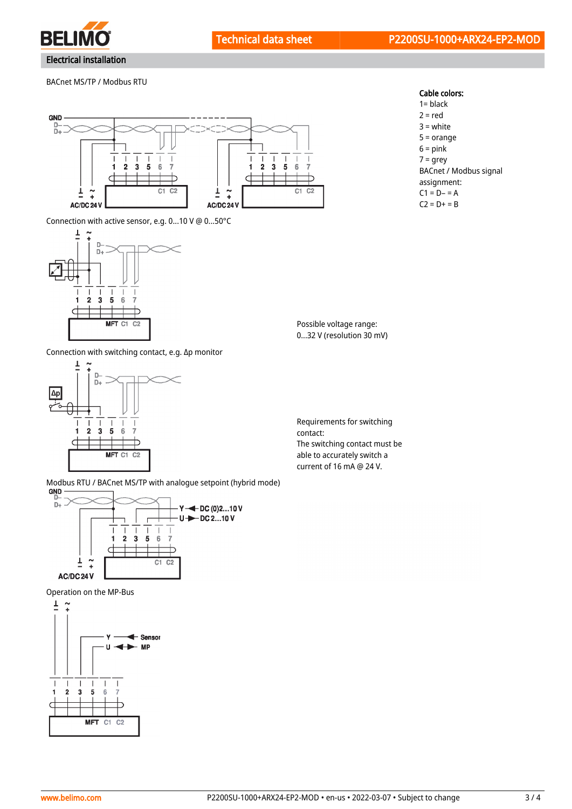

BACnet MS/TP / Modbus RTU



Connection with active sensor, e.g. 0...10 V @ 0...50°C



Cable colors:

1= black  $2 = red$ 3 = white 5 = orange  $6 = pink$ 7 = grey BACnet / Modbus signal assignment:  $C1 = D - 1 = A$  $C2 = D + = B$ 

Possible voltage range: 0...32 V (resolution 30 mV)

Connection with switching contact, e.g. Δp monitor



contact: The switching contact must be able to accurately switch a current of 16 mA @ 24 V.

Requirements for switching

Modbus RTU / BACnet MS/TP with analogue setpoint (hybrid mode)<br> **GND** 



Operation on the MP-Bus